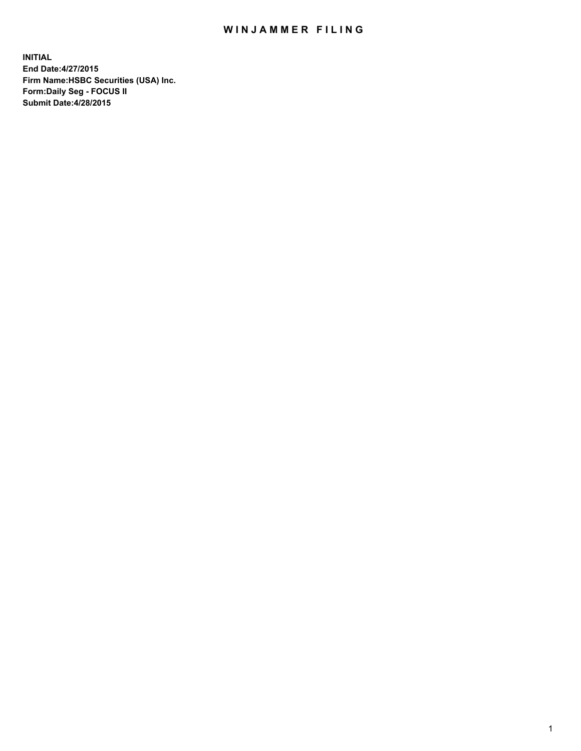## WIN JAMMER FILING

**INITIAL End Date:4/27/2015 Firm Name:HSBC Securities (USA) Inc. Form:Daily Seg - FOCUS II Submit Date:4/28/2015**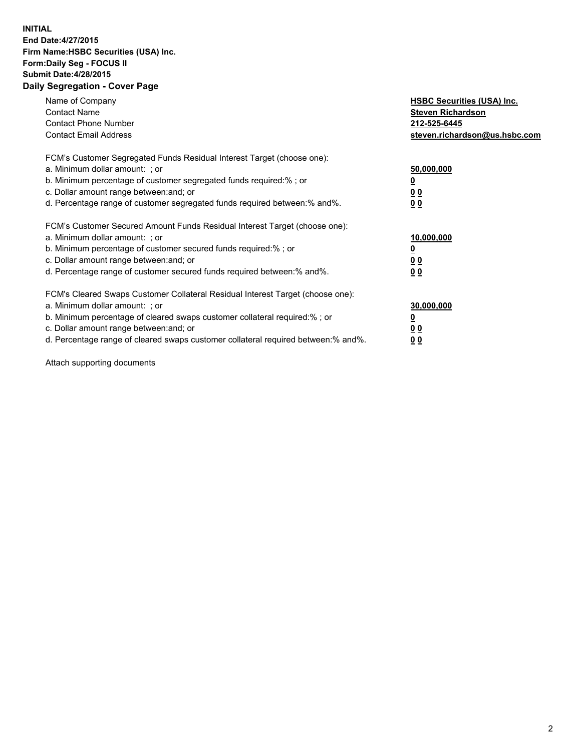## **INITIAL End Date:4/27/2015 Firm Name:HSBC Securities (USA) Inc. Form:Daily Seg - FOCUS II Submit Date:4/28/2015 Daily Segregation - Cover Page**

| Name of Company<br><b>Contact Name</b><br><b>Contact Phone Number</b><br><b>Contact Email Address</b>                                                                                                                                                                                                                          | <b>HSBC Securities (USA) Inc.</b><br><b>Steven Richardson</b><br>212-525-6445<br>steven.richardson@us.hsbc.com |
|--------------------------------------------------------------------------------------------------------------------------------------------------------------------------------------------------------------------------------------------------------------------------------------------------------------------------------|----------------------------------------------------------------------------------------------------------------|
| FCM's Customer Segregated Funds Residual Interest Target (choose one):<br>a. Minimum dollar amount: ; or<br>b. Minimum percentage of customer segregated funds required:%; or<br>c. Dollar amount range between: and; or<br>d. Percentage range of customer segregated funds required between: % and %.                        | 50,000,000<br>0 <sub>0</sub><br>0 <sub>0</sub>                                                                 |
| FCM's Customer Secured Amount Funds Residual Interest Target (choose one):<br>a. Minimum dollar amount: ; or<br>b. Minimum percentage of customer secured funds required:%; or<br>c. Dollar amount range between: and; or<br>d. Percentage range of customer secured funds required between:% and%.                            | 10,000,000<br><u>0</u><br>0 <sub>0</sub><br>0 <sub>0</sub>                                                     |
| FCM's Cleared Swaps Customer Collateral Residual Interest Target (choose one):<br>a. Minimum dollar amount: ; or<br>b. Minimum percentage of cleared swaps customer collateral required:% ; or<br>c. Dollar amount range between: and; or<br>d. Percentage range of cleared swaps customer collateral required between:% and%. | 30,000,000<br>00<br><u>00</u>                                                                                  |

Attach supporting documents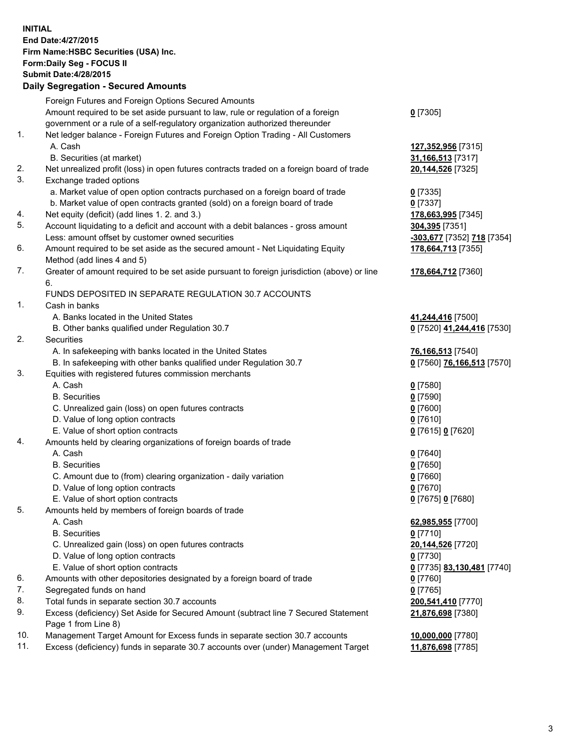**INITIAL End Date:4/27/2015 Firm Name:HSBC Securities (USA) Inc. Form:Daily Seg - FOCUS II Submit Date:4/28/2015 Daily Segregation - Secured Amounts**

Foreign Futures and Foreign Options Secured Amounts Amount required to be set aside pursuant to law, rule or regulation of a foreign government or a rule of a self-regulatory organization authorized thereunder **0** [7305] 1. Net ledger balance - Foreign Futures and Foreign Option Trading - All Customers A. Cash **127,352,956** [7315] B. Securities (at market) **31,166,513** [7317] 2. Net unrealized profit (loss) in open futures contracts traded on a foreign board of trade **20,144,526** [7325] 3. Exchange traded options a. Market value of open option contracts purchased on a foreign board of trade **0** [7335] b. Market value of open contracts granted (sold) on a foreign board of trade **0** [7337] 4. Net equity (deficit) (add lines 1. 2. and 3.) **178,663,995** [7345] 5. Account liquidating to a deficit and account with a debit balances - gross amount **304,395** [7351] Less: amount offset by customer owned securities **-303,677** [7352] **718** [7354] 6. Amount required to be set aside as the secured amount - Net Liquidating Equity Method (add lines 4 and 5) **178,664,713** [7355] 7. Greater of amount required to be set aside pursuant to foreign jurisdiction (above) or line 6. **178,664,712** [7360] FUNDS DEPOSITED IN SEPARATE REGULATION 30.7 ACCOUNTS 1. Cash in banks A. Banks located in the United States **41,244,416** [7500] B. Other banks qualified under Regulation 30.7 **0** [7520] **41,244,416** [7530] 2. Securities A. In safekeeping with banks located in the United States **76,166,513** [7540] B. In safekeeping with other banks qualified under Regulation 30.7 **0** [7560] **76,166,513** [7570] 3. Equities with registered futures commission merchants A. Cash **0** [7580] B. Securities **0** [7590] C. Unrealized gain (loss) on open futures contracts **0** [7600] D. Value of long option contracts **0** [7610] E. Value of short option contracts **0** [7615] **0** [7620] 4. Amounts held by clearing organizations of foreign boards of trade A. Cash **0** [7640] B. Securities **0** [7650] C. Amount due to (from) clearing organization - daily variation **0** [7660] D. Value of long option contracts **0** [7670] E. Value of short option contracts **0** [7675] **0** [7680] 5. Amounts held by members of foreign boards of trade A. Cash **62,985,955** [7700] B. Securities **0** [7710] C. Unrealized gain (loss) on open futures contracts **20,144,526** [7720] D. Value of long option contracts **0** [7730] E. Value of short option contracts **0** [7735] **83,130,481** [7740] 6. Amounts with other depositories designated by a foreign board of trade **0** [7760] 7. Segregated funds on hand **0** [7765] 8. Total funds in separate section 30.7 accounts **200,541,410** [7770] 9. Excess (deficiency) Set Aside for Secured Amount (subtract line 7 Secured Statement Page 1 from Line 8) **21,876,698** [7380] 10. Management Target Amount for Excess funds in separate section 30.7 accounts **10,000,000** [7780] 11. Excess (deficiency) funds in separate 30.7 accounts over (under) Management Target **11,876,698** [7785]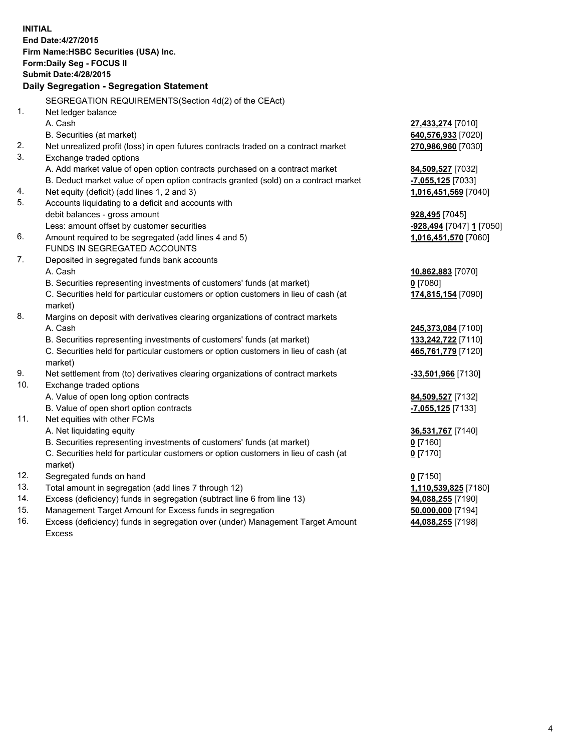| <b>INITIAL</b> | End Date: 4/27/2015<br>Firm Name: HSBC Securities (USA) Inc.<br>Form: Daily Seg - FOCUS II<br><b>Submit Date:4/28/2015</b><br>Daily Segregation - Segregation Statement |                                    |
|----------------|-------------------------------------------------------------------------------------------------------------------------------------------------------------------------|------------------------------------|
|                | SEGREGATION REQUIREMENTS(Section 4d(2) of the CEAct)                                                                                                                    |                                    |
| 1.             | Net ledger balance<br>A. Cash                                                                                                                                           | 27,433,274 [7010]                  |
|                | B. Securities (at market)                                                                                                                                               | 640,576,933 [7020]                 |
| 2.             | Net unrealized profit (loss) in open futures contracts traded on a contract market                                                                                      | 270,986,960 [7030]                 |
| 3.             | Exchange traded options                                                                                                                                                 |                                    |
|                | A. Add market value of open option contracts purchased on a contract market                                                                                             | 84,509,527 [7032]                  |
|                | B. Deduct market value of open option contracts granted (sold) on a contract market                                                                                     | -7,055,125 [7033]                  |
| 4.             | Net equity (deficit) (add lines 1, 2 and 3)                                                                                                                             | 1,016,451,569 [7040]               |
| 5.             | Accounts liquidating to a deficit and accounts with                                                                                                                     |                                    |
|                | debit balances - gross amount                                                                                                                                           | <b>928,495</b> [7045]              |
|                | Less: amount offset by customer securities                                                                                                                              | -928,494 [7047] 1 [7050]           |
| 6.             | Amount required to be segregated (add lines 4 and 5)                                                                                                                    | 1,016,451,570 [7060]               |
|                | FUNDS IN SEGREGATED ACCOUNTS                                                                                                                                            |                                    |
| 7.             | Deposited in segregated funds bank accounts                                                                                                                             |                                    |
|                | A. Cash                                                                                                                                                                 | 10,862,883 [7070]                  |
|                | B. Securities representing investments of customers' funds (at market)                                                                                                  | $0$ [7080]                         |
|                | C. Securities held for particular customers or option customers in lieu of cash (at<br>market)                                                                          | 174,815,154 [7090]                 |
| 8.             | Margins on deposit with derivatives clearing organizations of contract markets                                                                                          |                                    |
|                | A. Cash                                                                                                                                                                 | 245,373,084 [7100]                 |
|                | B. Securities representing investments of customers' funds (at market)                                                                                                  | 133,242,722 [7110]                 |
|                | C. Securities held for particular customers or option customers in lieu of cash (at<br>market)                                                                          | 465,761,779 [7120]                 |
| 9.             | Net settlement from (to) derivatives clearing organizations of contract markets                                                                                         | -33,501,966 [7130]                 |
| 10.            | Exchange traded options                                                                                                                                                 |                                    |
|                | A. Value of open long option contracts                                                                                                                                  | 84,509,527 [7132]                  |
|                | B. Value of open short option contracts                                                                                                                                 | -7,055,125 [7133]                  |
| 11.            | Net equities with other FCMs                                                                                                                                            |                                    |
|                | A. Net liquidating equity                                                                                                                                               | 36,531,767 [7140]                  |
|                | B. Securities representing investments of customers' funds (at market)                                                                                                  | $0$ [7160]                         |
|                | C. Securities held for particular customers or option customers in lieu of cash (at                                                                                     | $0$ [7170]                         |
| 12.            | market)<br>Segregated funds on hand                                                                                                                                     |                                    |
| 13.            | Total amount in segregation (add lines 7 through 12)                                                                                                                    | $0$ [7150]<br>1,110,539,825 [7180] |
| 14.            | Excess (deficiency) funds in segregation (subtract line 6 from line 13)                                                                                                 | 94,088,255 [7190]                  |
| 15.            | Management Target Amount for Excess funds in segregation                                                                                                                | 50,000,000 [7194]                  |
| 16.            | Excess (deficiency) funds in segregation over (under) Management Target Amount                                                                                          | 44,088,255 [7198]                  |
|                | <b>Excess</b>                                                                                                                                                           |                                    |